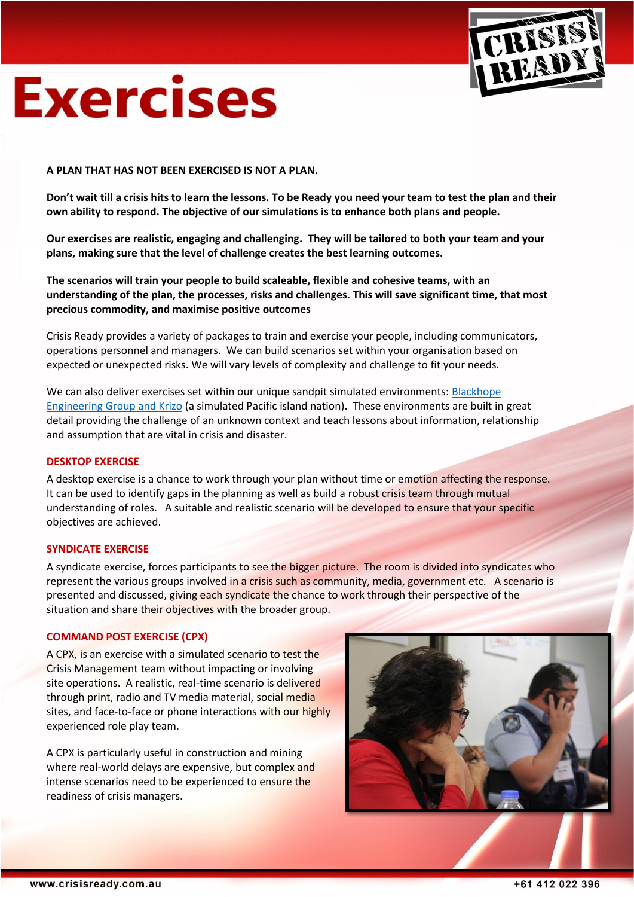

# **Exercises**

# **A PLAN THAT HAS NOT BEEN EXERCISED IS NOT A PLAN.**

**Don't wait till a crisis hits to learn the lessons. To be Ready you need your team to test the plan and their own ability to respond. The objective of our simulations is to enhance both plans and people.** 

**Our exercises are realistic, engaging and challenging. They will be tailored to both your team and your plans, making sure that the level of challenge creates the best learning outcomes.**

**The scenarios will train your people to build scaleable, flexible and cohesive teams, with an understanding of the plan, the processes, risks and challenges. This will save significant time, that most precious commodity, and maximise positive outcomes**

Crisis Ready provides a variety of packages to train and exercise your people, including communicators, operations personnel and managers. We can build scenarios set within your organisation based on expected or unexpected risks. We will vary levels of complexity and challenge to fit your needs.

We can also deliver exercises set within our unique sandpit simulated environments: [Blackhope](http://www.crisisready.com.au/PDFs/Simulation_Sandpits.pdf)  [Engineering Group and Krizo](http://www.crisisready.com.au/PDFs/Simulation_Sandpits.pdf) (a simulated Pacific island nation). These environments are built in great detail providing the challenge of an unknown context and teach lessons about information, relationship and assumption that are vital in crisis and disaster.

#### **DESKTOP EXERCISE**

A desktop exercise is a chance to work through your plan without time or emotion affecting the response. It can be used to identify gaps in the planning as well as build a robust crisis team through mutual understanding of roles. A suitable and realistic scenario will be developed to ensure that your specific objectives are achieved.

#### **SYNDICATE EXERCISE**

A syndicate exercise, forces participants to see the bigger picture. The room is divided into syndicates who represent the various groups involved in a crisis such as community, media, government etc. A scenario is presented and discussed, giving each syndicate the chance to work through their perspective of the situation and share their objectives with the broader group.

#### **COMMAND POST EXERCISE (CPX)**

A CPX, is an exercise with a simulated scenario to test the Crisis Management team without impacting or involving site operations. A realistic, real-time scenario is delivered through print, radio and TV media material, social media sites, and face-to-face or phone interactions with our highly experienced role play team.

A CPX is particularly useful in construction and mining where real-world delays are expensive, but complex and intense scenarios need to be experienced to ensure the readiness of crisis managers.